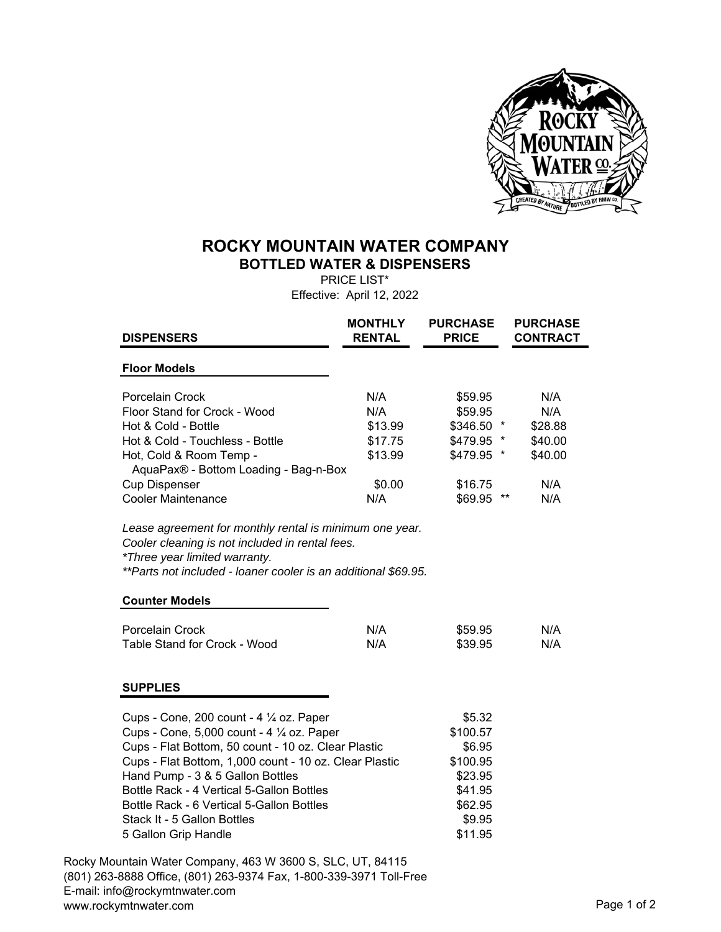

## **ROCKY MOUNTAIN WATER COMPANY BOTTLED WATER & DISPENSERS**

PRICE LIST\* Effective: April 12, 2022

| <b>DISPENSERS</b>                                                                                                                                                                                                                      | <b>MONTHLY</b><br><b>RENTAL</b>                        | <b>PURCHASE</b><br><b>PRICE</b> | <b>PURCHASE</b><br><b>CONTRACT</b> |
|----------------------------------------------------------------------------------------------------------------------------------------------------------------------------------------------------------------------------------------|--------------------------------------------------------|---------------------------------|------------------------------------|
| <b>Floor Models</b>                                                                                                                                                                                                                    |                                                        |                                 |                                    |
| Porcelain Crock                                                                                                                                                                                                                        | N/A                                                    | \$59.95                         | N/A                                |
| Floor Stand for Crock - Wood                                                                                                                                                                                                           | N/A                                                    | \$59.95                         | N/A                                |
| Hot & Cold - Bottle                                                                                                                                                                                                                    | \$13.99                                                | \$346.50 *                      | \$28.88                            |
| Hot & Cold - Touchless - Bottle                                                                                                                                                                                                        | \$17.75                                                | \$479.95 *                      | \$40.00                            |
| Hot, Cold & Room Temp -                                                                                                                                                                                                                | \$13.99                                                | \$479.95 *                      | \$40.00                            |
| AquaPax® - Bottom Loading - Bag-n-Box                                                                                                                                                                                                  |                                                        |                                 |                                    |
| <b>Cup Dispenser</b>                                                                                                                                                                                                                   | \$0.00                                                 | \$16.75                         | N/A                                |
| <b>Cooler Maintenance</b>                                                                                                                                                                                                              | N/A                                                    | \$69.95 **                      | N/A                                |
| Lease agreement for monthly rental is minimum one year.<br>Cooler cleaning is not included in rental fees.<br>*Three year limited warranty.<br>**Parts not included - loaner cooler is an additional \$69.95.<br><b>Counter Models</b> |                                                        |                                 |                                    |
| Porcelain Crock                                                                                                                                                                                                                        | N/A                                                    |                                 | N/A                                |
| Table Stand for Crock - Wood                                                                                                                                                                                                           | N/A                                                    | \$59.95<br>\$39.95              | N/A                                |
| <b>SUPPLIES</b>                                                                                                                                                                                                                        |                                                        |                                 |                                    |
| Cups - Cone, 200 count - 4 1/4 oz. Paper                                                                                                                                                                                               |                                                        | \$5.32                          |                                    |
| Cups - Cone, 5,000 count - 4 1/4 oz. Paper                                                                                                                                                                                             |                                                        | \$100.57                        |                                    |
| Cups - Flat Bottom, 50 count - 10 oz. Clear Plastic                                                                                                                                                                                    |                                                        | \$6.95                          |                                    |
|                                                                                                                                                                                                                                        | Cups - Flat Bottom, 1,000 count - 10 oz. Clear Plastic |                                 |                                    |
| Hand Pump - 3 & 5 Gallon Bottles                                                                                                                                                                                                       |                                                        | \$23.95                         |                                    |
| Bottle Rack - 4 Vertical 5-Gallon Bottles                                                                                                                                                                                              |                                                        | \$41.95                         |                                    |
| Bottle Rack - 6 Vertical 5-Gallon Bottles                                                                                                                                                                                              |                                                        | \$62.95                         |                                    |
| Stack It - 5 Gallon Bottles                                                                                                                                                                                                            |                                                        | \$9.95                          |                                    |
| 5 Gallon Grip Handle                                                                                                                                                                                                                   |                                                        | \$11.95                         |                                    |
| Rocky Mountain Water Company, 463 W 3600 S, SLC, UT, 84115<br>(801) 263-8888 Office, (801) 263-9374 Fax, 1-800-339-3971 Toll-Free                                                                                                      |                                                        |                                 |                                    |

E-mail: info@rockymtnwater.com www.rockymtnwater.com example of 2